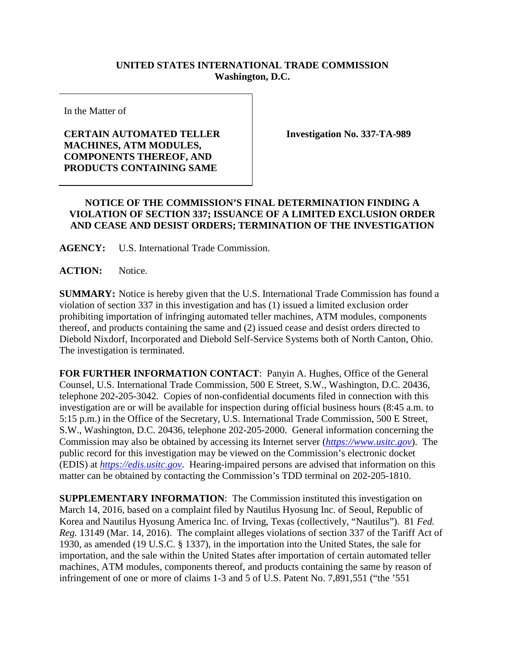## **UNITED STATES INTERNATIONAL TRADE COMMISSION Washington, D.C.**

In the Matter of

## **CERTAIN AUTOMATED TELLER MACHINES, ATM MODULES, COMPONENTS THEREOF, AND PRODUCTS CONTAINING SAME**

**Investigation No. 337-TA-989**

## **NOTICE OF THE COMMISSION'S FINAL DETERMINATION FINDING A VIOLATION OF SECTION 337; ISSUANCE OF A LIMITED EXCLUSION ORDER AND CEASE AND DESIST ORDERS; TERMINATION OF THE INVESTIGATION**

**AGENCY:** U.S. International Trade Commission.

ACTION: Notice.

**SUMMARY:** Notice is hereby given that the U.S. International Trade Commission has found a violation of section 337 in this investigation and has (1) issued a limited exclusion order prohibiting importation of infringing automated teller machines, ATM modules, components thereof, and products containing the same and (2) issued cease and desist orders directed to Diebold Nixdorf, Incorporated and Diebold Self-Service Systems both of North Canton, Ohio. The investigation is terminated.

**FOR FURTHER INFORMATION CONTACT**: Panyin A. Hughes, Office of the General Counsel, U.S. International Trade Commission, 500 E Street, S.W., Washington, D.C. 20436, telephone 202-205-3042. Copies of non-confidential documents filed in connection with this investigation are or will be available for inspection during official business hours (8:45 a.m. to 5:15 p.m.) in the Office of the Secretary, U.S. International Trade Commission, 500 E Street, S.W., Washington, D.C. 20436, telephone 202-205-2000. General information concerning the Commission may also be obtained by accessing its Internet server (*[https://www.usitc.gov](https://www.usitc.gov/)*). The public record for this investigation may be viewed on the Commission's electronic docket (EDIS) at *[https://edis.usitc.gov](https://edis.usitc.gov/)*. Hearing-impaired persons are advised that information on this matter can be obtained by contacting the Commission's TDD terminal on 202-205-1810.

**SUPPLEMENTARY INFORMATION**: The Commission instituted this investigation on March 14, 2016, based on a complaint filed by Nautilus Hyosung Inc. of Seoul, Republic of Korea and Nautilus Hyosung America Inc. of Irving, Texas (collectively, "Nautilus"). 81 *Fed. Reg.* 13149 (Mar. 14, 2016). The complaint alleges violations of section 337 of the Tariff Act of 1930, as amended (19 U.S.C. § 1337), in the importation into the United States, the sale for importation, and the sale within the United States after importation of certain automated teller machines, ATM modules, components thereof, and products containing the same by reason of infringement of one or more of claims 1-3 and 5 of U.S. Patent No. 7,891,551 ("the '551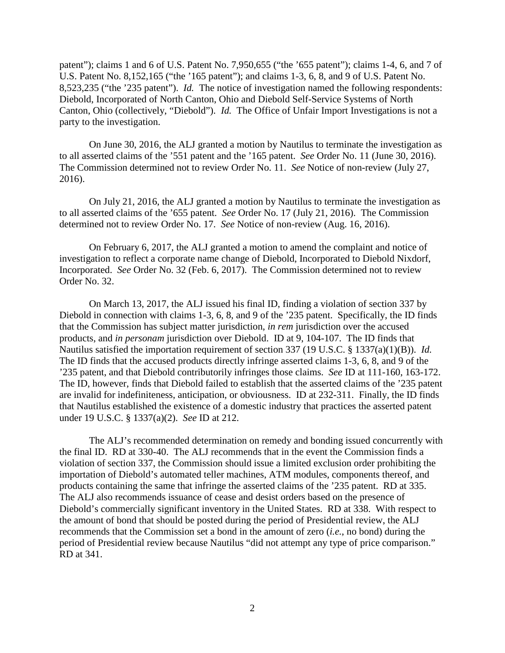patent"); claims 1 and 6 of U.S. Patent No. 7,950,655 ("the '655 patent"); claims 1-4, 6, and 7 of U.S. Patent No. 8,152,165 ("the '165 patent"); and claims 1-3, 6, 8, and 9 of U.S. Patent No. 8,523,235 ("the '235 patent"). *Id.* The notice of investigation named the following respondents: Diebold, Incorporated of North Canton, Ohio and Diebold Self-Service Systems of North Canton, Ohio (collectively, "Diebold"). *Id.* The Office of Unfair Import Investigations is not a party to the investigation.

On June 30, 2016, the ALJ granted a motion by Nautilus to terminate the investigation as to all asserted claims of the '551 patent and the '165 patent. *See* Order No. 11 (June 30, 2016). The Commission determined not to review Order No. 11. *See* Notice of non-review (July 27, 2016).

On July 21, 2016, the ALJ granted a motion by Nautilus to terminate the investigation as to all asserted claims of the '655 patent. *See* Order No. 17 (July 21, 2016). The Commission determined not to review Order No. 17. *See* Notice of non-review (Aug. 16, 2016).

On February 6, 2017, the ALJ granted a motion to amend the complaint and notice of investigation to reflect a corporate name change of Diebold, Incorporated to Diebold Nixdorf, Incorporated. *See* Order No. 32 (Feb. 6, 2017). The Commission determined not to review Order No. 32.

On March 13, 2017, the ALJ issued his final ID, finding a violation of section 337 by Diebold in connection with claims 1-3, 6, 8, and 9 of the '235 patent. Specifically, the ID finds that the Commission has subject matter jurisdiction, *in rem* jurisdiction over the accused products, and *in personam* jurisdiction over Diebold. ID at 9, 104-107. The ID finds that Nautilus satisfied the importation requirement of section 337 (19 U.S.C. § 1337(a)(1)(B)). *Id.* The ID finds that the accused products directly infringe asserted claims 1-3, 6, 8, and 9 of the '235 patent, and that Diebold contributorily infringes those claims. *See* ID at 111-160, 163-172. The ID, however, finds that Diebold failed to establish that the asserted claims of the '235 patent are invalid for indefiniteness, anticipation, or obviousness. ID at 232-311. Finally, the ID finds that Nautilus established the existence of a domestic industry that practices the asserted patent under 19 U.S.C. § 1337(a)(2). *See* ID at 212.

The ALJ's recommended determination on remedy and bonding issued concurrently with the final ID. RD at 330-40. The ALJ recommends that in the event the Commission finds a violation of section 337, the Commission should issue a limited exclusion order prohibiting the importation of Diebold's automated teller machines, ATM modules, components thereof, and products containing the same that infringe the asserted claims of the '235 patent. RD at 335. The ALJ also recommends issuance of cease and desist orders based on the presence of Diebold's commercially significant inventory in the United States. RD at 338. With respect to the amount of bond that should be posted during the period of Presidential review, the ALJ recommends that the Commission set a bond in the amount of zero (*i.e.*, no bond) during the period of Presidential review because Nautilus "did not attempt any type of price comparison." RD at 341.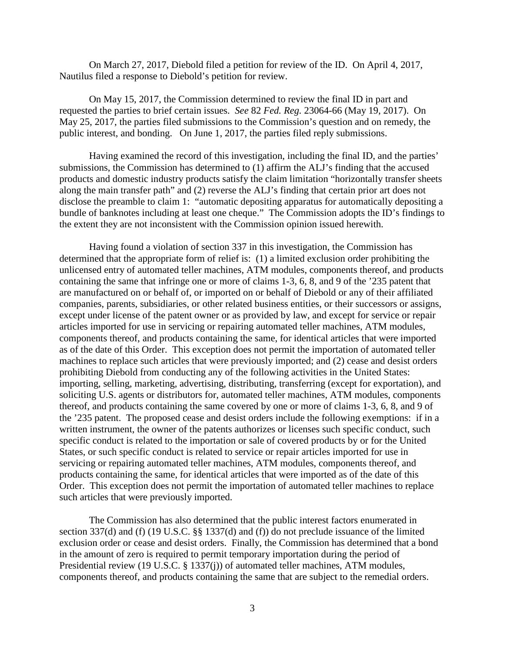On March 27, 2017, Diebold filed a petition for review of the ID. On April 4, 2017, Nautilus filed a response to Diebold's petition for review.

On May 15, 2017, the Commission determined to review the final ID in part and requested the parties to brief certain issues. *See* 82 *Fed. Reg.* 23064-66 (May 19, 2017). On May 25, 2017, the parties filed submissions to the Commission's question and on remedy, the public interest, and bonding. On June 1, 2017, the parties filed reply submissions.

Having examined the record of this investigation, including the final ID, and the parties' submissions, the Commission has determined to (1) affirm the ALJ's finding that the accused products and domestic industry products satisfy the claim limitation "horizontally transfer sheets along the main transfer path" and (2) reverse the ALJ's finding that certain prior art does not disclose the preamble to claim 1: "automatic depositing apparatus for automatically depositing a bundle of banknotes including at least one cheque." The Commission adopts the ID's findings to the extent they are not inconsistent with the Commission opinion issued herewith.

Having found a violation of section 337 in this investigation, the Commission has determined that the appropriate form of relief is: (1) a limited exclusion order prohibiting the unlicensed entry of automated teller machines, ATM modules, components thereof, and products containing the same that infringe one or more of claims 1-3, 6, 8, and 9 of the '235 patent that are manufactured on or behalf of, or imported on or behalf of Diebold or any of their affiliated companies, parents, subsidiaries, or other related business entities, or their successors or assigns, except under license of the patent owner or as provided by law, and except for service or repair articles imported for use in servicing or repairing automated teller machines, ATM modules, components thereof, and products containing the same, for identical articles that were imported as of the date of this Order. This exception does not permit the importation of automated teller machines to replace such articles that were previously imported; and (2) cease and desist orders prohibiting Diebold from conducting any of the following activities in the United States: importing, selling, marketing, advertising, distributing, transferring (except for exportation), and soliciting U.S. agents or distributors for, automated teller machines, ATM modules, components thereof, and products containing the same covered by one or more of claims 1-3, 6, 8, and 9 of the '235 patent. The proposed cease and desist orders include the following exemptions: if in a written instrument, the owner of the patents authorizes or licenses such specific conduct, such specific conduct is related to the importation or sale of covered products by or for the United States, or such specific conduct is related to service or repair articles imported for use in servicing or repairing automated teller machines, ATM modules, components thereof, and products containing the same, for identical articles that were imported as of the date of this Order. This exception does not permit the importation of automated teller machines to replace such articles that were previously imported.

The Commission has also determined that the public interest factors enumerated in section 337(d) and (f) (19 U.S.C. §§ 1337(d) and (f)) do not preclude issuance of the limited exclusion order or cease and desist orders. Finally, the Commission has determined that a bond in the amount of zero is required to permit temporary importation during the period of Presidential review (19 U.S.C. § 1337(j)) of automated teller machines, ATM modules, components thereof, and products containing the same that are subject to the remedial orders.